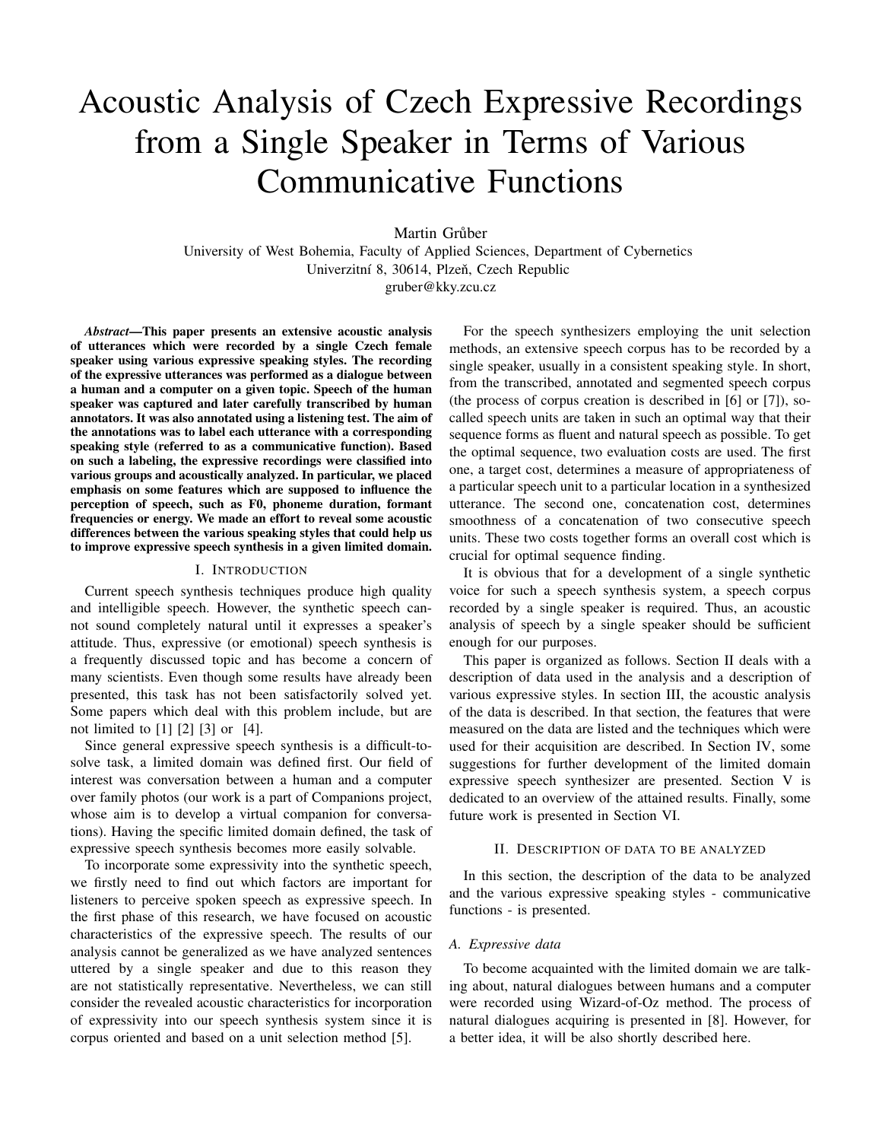# Acoustic Analysis of Czech Expressive Recordings from a Single Speaker in Terms of Various Communicative Functions

Martin Grůber

University of West Bohemia, Faculty of Applied Sciences, Department of Cybernetics Univerzitní 8, 30614, Plzeň, Czech Republic gruber@kky.zcu.cz

*Abstract*—This paper presents an extensive acoustic analysis of utterances which were recorded by a single Czech female speaker using various expressive speaking styles. The recording of the expressive utterances was performed as a dialogue between a human and a computer on a given topic. Speech of the human speaker was captured and later carefully transcribed by human annotators. It was also annotated using a listening test. The aim of the annotations was to label each utterance with a corresponding speaking style (referred to as a communicative function). Based on such a labeling, the expressive recordings were classified into various groups and acoustically analyzed. In particular, we placed emphasis on some features which are supposed to influence the perception of speech, such as F0, phoneme duration, formant frequencies or energy. We made an effort to reveal some acoustic differences between the various speaking styles that could help us to improve expressive speech synthesis in a given limited domain.

### I. INTRODUCTION

Current speech synthesis techniques produce high quality and intelligible speech. However, the synthetic speech cannot sound completely natural until it expresses a speaker's attitude. Thus, expressive (or emotional) speech synthesis is a frequently discussed topic and has become a concern of many scientists. Even though some results have already been presented, this task has not been satisfactorily solved yet. Some papers which deal with this problem include, but are not limited to [1] [2] [3] or [4].

Since general expressive speech synthesis is a difficult-tosolve task, a limited domain was defined first. Our field of interest was conversation between a human and a computer over family photos (our work is a part of Companions project, whose aim is to develop a virtual companion for conversations). Having the specific limited domain defined, the task of expressive speech synthesis becomes more easily solvable.

To incorporate some expressivity into the synthetic speech, we firstly need to find out which factors are important for listeners to perceive spoken speech as expressive speech. In the first phase of this research, we have focused on acoustic characteristics of the expressive speech. The results of our analysis cannot be generalized as we have analyzed sentences uttered by a single speaker and due to this reason they are not statistically representative. Nevertheless, we can still consider the revealed acoustic characteristics for incorporation of expressivity into our speech synthesis system since it is corpus oriented and based on a unit selection method [5].

For the speech synthesizers employing the unit selection methods, an extensive speech corpus has to be recorded by a single speaker, usually in a consistent speaking style. In short, from the transcribed, annotated and segmented speech corpus (the process of corpus creation is described in [6] or [7]), socalled speech units are taken in such an optimal way that their sequence forms as fluent and natural speech as possible. To get the optimal sequence, two evaluation costs are used. The first one, a target cost, determines a measure of appropriateness of a particular speech unit to a particular location in a synthesized utterance. The second one, concatenation cost, determines smoothness of a concatenation of two consecutive speech units. These two costs together forms an overall cost which is crucial for optimal sequence finding.

It is obvious that for a development of a single synthetic voice for such a speech synthesis system, a speech corpus recorded by a single speaker is required. Thus, an acoustic analysis of speech by a single speaker should be sufficient enough for our purposes.

This paper is organized as follows. Section II deals with a description of data used in the analysis and a description of various expressive styles. In section III, the acoustic analysis of the data is described. In that section, the features that were measured on the data are listed and the techniques which were used for their acquisition are described. In Section IV, some suggestions for further development of the limited domain expressive speech synthesizer are presented. Section V is dedicated to an overview of the attained results. Finally, some future work is presented in Section VI.

# II. DESCRIPTION OF DATA TO BE ANALYZED

In this section, the description of the data to be analyzed and the various expressive speaking styles - communicative functions - is presented.

# *A. Expressive data*

To become acquainted with the limited domain we are talking about, natural dialogues between humans and a computer were recorded using Wizard-of-Oz method. The process of natural dialogues acquiring is presented in [8]. However, for a better idea, it will be also shortly described here.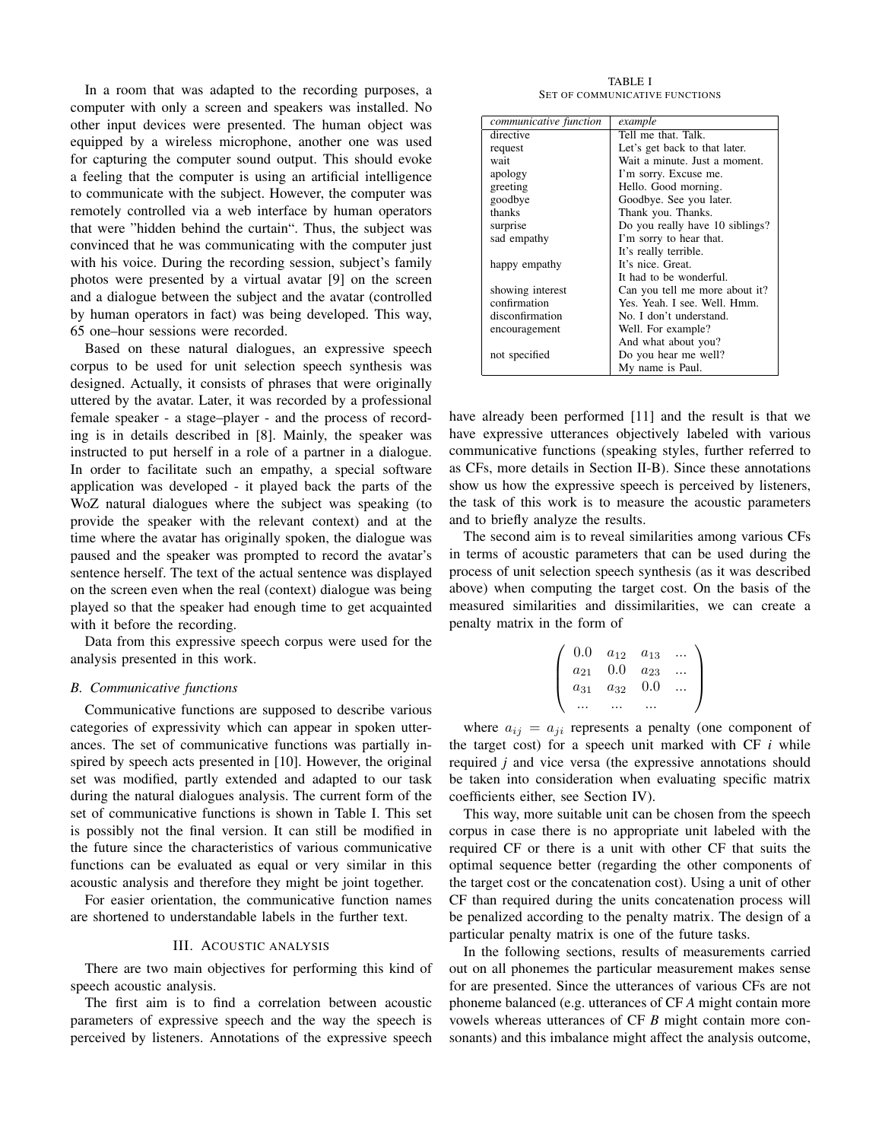In a room that was adapted to the recording purposes, a computer with only a screen and speakers was installed. No other input devices were presented. The human object was equipped by a wireless microphone, another one was used for capturing the computer sound output. This should evoke a feeling that the computer is using an artificial intelligence to communicate with the subject. However, the computer was remotely controlled via a web interface by human operators that were "hidden behind the curtain". Thus, the subject was convinced that he was communicating with the computer just with his voice. During the recording session, subject's family photos were presented by a virtual avatar [9] on the screen and a dialogue between the subject and the avatar (controlled by human operators in fact) was being developed. This way, 65 one–hour sessions were recorded.

Based on these natural dialogues, an expressive speech corpus to be used for unit selection speech synthesis was designed. Actually, it consists of phrases that were originally uttered by the avatar. Later, it was recorded by a professional female speaker - a stage–player - and the process of recording is in details described in [8]. Mainly, the speaker was instructed to put herself in a role of a partner in a dialogue. In order to facilitate such an empathy, a special software application was developed - it played back the parts of the WoZ natural dialogues where the subject was speaking (to provide the speaker with the relevant context) and at the time where the avatar has originally spoken, the dialogue was paused and the speaker was prompted to record the avatar's sentence herself. The text of the actual sentence was displayed on the screen even when the real (context) dialogue was being played so that the speaker had enough time to get acquainted with it before the recording.

Data from this expressive speech corpus were used for the analysis presented in this work.

## *B. Communicative functions*

Communicative functions are supposed to describe various categories of expressivity which can appear in spoken utterances. The set of communicative functions was partially inspired by speech acts presented in [10]. However, the original set was modified, partly extended and adapted to our task during the natural dialogues analysis. The current form of the set of communicative functions is shown in Table I. This set is possibly not the final version. It can still be modified in the future since the characteristics of various communicative functions can be evaluated as equal or very similar in this acoustic analysis and therefore they might be joint together.

For easier orientation, the communicative function names are shortened to understandable labels in the further text.

#### III. ACOUSTIC ANALYSIS

There are two main objectives for performing this kind of speech acoustic analysis.

The first aim is to find a correlation between acoustic parameters of expressive speech and the way the speech is perceived by listeners. Annotations of the expressive speech

TABLE I SET OF COMMUNICATIVE FUNCTIONS

| communicative function | example                         |
|------------------------|---------------------------------|
| directive              | Tell me that. Talk.             |
| request                | Let's get back to that later.   |
| wait                   | Wait a minute. Just a moment.   |
| apology                | I'm sorry. Excuse me.           |
| greeting               | Hello. Good morning.            |
| goodbye                | Goodbye. See you later.         |
| thanks                 | Thank you. Thanks.              |
| surprise               | Do you really have 10 siblings? |
| sad empathy            | I'm sorry to hear that.         |
|                        | It's really terrible.           |
| happy empathy          | It's nice. Great.               |
|                        | It had to be wonderful.         |
| showing interest       | Can you tell me more about it?  |
| confirmation           | Yes. Yeah. I see. Well. Hmm.    |
| disconfirmation        | No. I don't understand.         |
| encouragement          | Well. For example?              |
|                        | And what about you?             |
| not specified          | Do you hear me well?            |
|                        | My name is Paul.                |

have already been performed [11] and the result is that we have expressive utterances objectively labeled with various communicative functions (speaking styles, further referred to as CFs, more details in Section II-B). Since these annotations show us how the expressive speech is perceived by listeners, the task of this work is to measure the acoustic parameters and to briefly analyze the results.

The second aim is to reveal similarities among various CFs in terms of acoustic parameters that can be used during the process of unit selection speech synthesis (as it was described above) when computing the target cost. On the basis of the measured similarities and dissimilarities, we can create a penalty matrix in the form of

$$
\left(\begin{array}{cccc} 0.0 & a_{12} & a_{13} & \dots \\ a_{21} & 0.0 & a_{23} & \dots \\ a_{31} & a_{32} & 0.0 & \dots \\ \dots & \dots & \dots & \dots \end{array}\right)
$$

where  $a_{ij} = a_{ji}$  represents a penalty (one component of the target cost) for a speech unit marked with CF *i* while required *j* and vice versa (the expressive annotations should be taken into consideration when evaluating specific matrix coefficients either, see Section IV).

This way, more suitable unit can be chosen from the speech corpus in case there is no appropriate unit labeled with the required CF or there is a unit with other CF that suits the optimal sequence better (regarding the other components of the target cost or the concatenation cost). Using a unit of other CF than required during the units concatenation process will be penalized according to the penalty matrix. The design of a particular penalty matrix is one of the future tasks.

In the following sections, results of measurements carried out on all phonemes the particular measurement makes sense for are presented. Since the utterances of various CFs are not phoneme balanced (e.g. utterances of CF *A* might contain more vowels whereas utterances of CF *B* might contain more consonants) and this imbalance might affect the analysis outcome,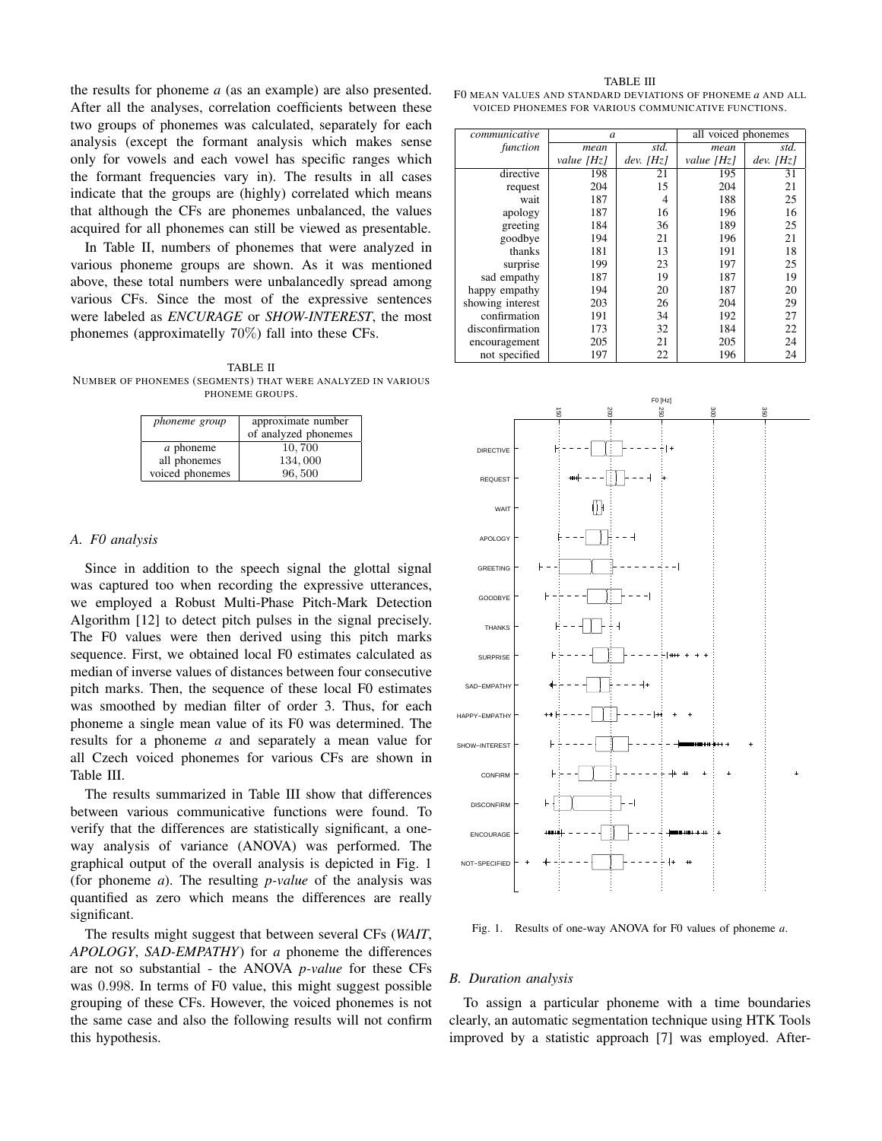the results for phoneme *a* (as an example) are also presented. After all the analyses, correlation coefficients between these two groups of phonemes was calculated, separately for each analysis (except the formant analysis which makes sense only for vowels and each vowel has specific ranges which the formant frequencies vary in). The results in all cases indicate that the groups are (highly) correlated which means that although the CFs are phonemes unbalanced, the values acquired for all phonemes can still be viewed as presentable.

In Table II, numbers of phonemes that were analyzed in various phoneme groups are shown. As it was mentioned above, these total numbers were unbalancedly spread among various CFs. Since the most of the expressive sentences were labeled as *ENCURAGE* or *SHOW-INTEREST*, the most phonemes (approximatelly 70%) fall into these CFs.

TABLE II NUMBER OF PHONEMES (SEGMENTS) THAT WERE ANALYZED IN VARIOUS PHONEME GROUPS.

| phoneme group    | approximate number   |
|------------------|----------------------|
|                  | of analyzed phonemes |
| <i>a</i> phoneme | 10,700               |
| all phonemes     | 134,000              |
| voiced phonemes  | 96,500               |

# *A. F0 analysis*

Since in addition to the speech signal the glottal signal was captured too when recording the expressive utterances, we employed a Robust Multi-Phase Pitch-Mark Detection Algorithm [12] to detect pitch pulses in the signal precisely. The F0 values were then derived using this pitch marks sequence. First, we obtained local F0 estimates calculated as median of inverse values of distances between four consecutive pitch marks. Then, the sequence of these local F0 estimates was smoothed by median filter of order 3. Thus, for each phoneme a single mean value of its F0 was determined. The results for a phoneme *a* and separately a mean value for all Czech voiced phonemes for various CFs are shown in Table III.

The results summarized in Table III show that differences between various communicative functions were found. To verify that the differences are statistically significant, a oneway analysis of variance (ANOVA) was performed. The graphical output of the overall analysis is depicted in Fig. 1 (for phoneme *a*). The resulting *p-value* of the analysis was quantified as zero which means the differences are really significant.

The results might suggest that between several CFs (*WAIT*, *APOLOGY*, *SAD-EMPATHY*) for *a* phoneme the differences are not so substantial - the ANOVA *p-value* for these CFs was 0.998. In terms of F0 value, this might suggest possible grouping of these CFs. However, the voiced phonemes is not the same case and also the following results will not confirm this hypothesis.

TABLE III F0 MEAN VALUES AND STANDARD DEVIATIONS OF PHONEME *a* AND ALL VOICED PHONEMES FOR VARIOUS COMMUNICATIVE FUNCTIONS.

| communicative    | a            |             | all voiced phonemes |             |  |  |
|------------------|--------------|-------------|---------------------|-------------|--|--|
| function         | mean         | std.        | mean                | std.        |  |  |
|                  | value $[Hz]$ | dev. $[Hz]$ | value [Hz]          | $dev.$ [Hz] |  |  |
| directive        | 198          | 21          | 195                 | 31          |  |  |
| request          | 204          | 15          | 204                 | 21          |  |  |
| wait             | 187          | 4           | 188                 | 25          |  |  |
| apology          | 187          | 16          | 196                 | 16          |  |  |
| greeting         | 184          | 36          | 189                 | 25          |  |  |
| goodbye          | 194          | 21          | 196                 | 21          |  |  |
| thanks           | 181          | 13          | 191                 | 18          |  |  |
| surprise         | 199          | 23          | 197                 | 25          |  |  |
| sad empathy      | 187          | 19          | 187                 | 19          |  |  |
| happy empathy    | 194          | 20          | 187                 | 20          |  |  |
| showing interest | 203          | 26          | 204                 | 29          |  |  |
| confirmation     | 191          | 34          | 192                 | 27          |  |  |
| disconfirmation  | 173          | 32          | 184                 | 22          |  |  |
| encouragement    | 205          | 21          | 205                 | 24          |  |  |
| not specified    | 197          | 22          | 196                 | 24          |  |  |



Fig. 1. Results of one-way ANOVA for F0 values of phoneme *a*.

#### *B. Duration analysis*

To assign a particular phoneme with a time boundaries clearly, an automatic segmentation technique using HTK Tools improved by a statistic approach [7] was employed. After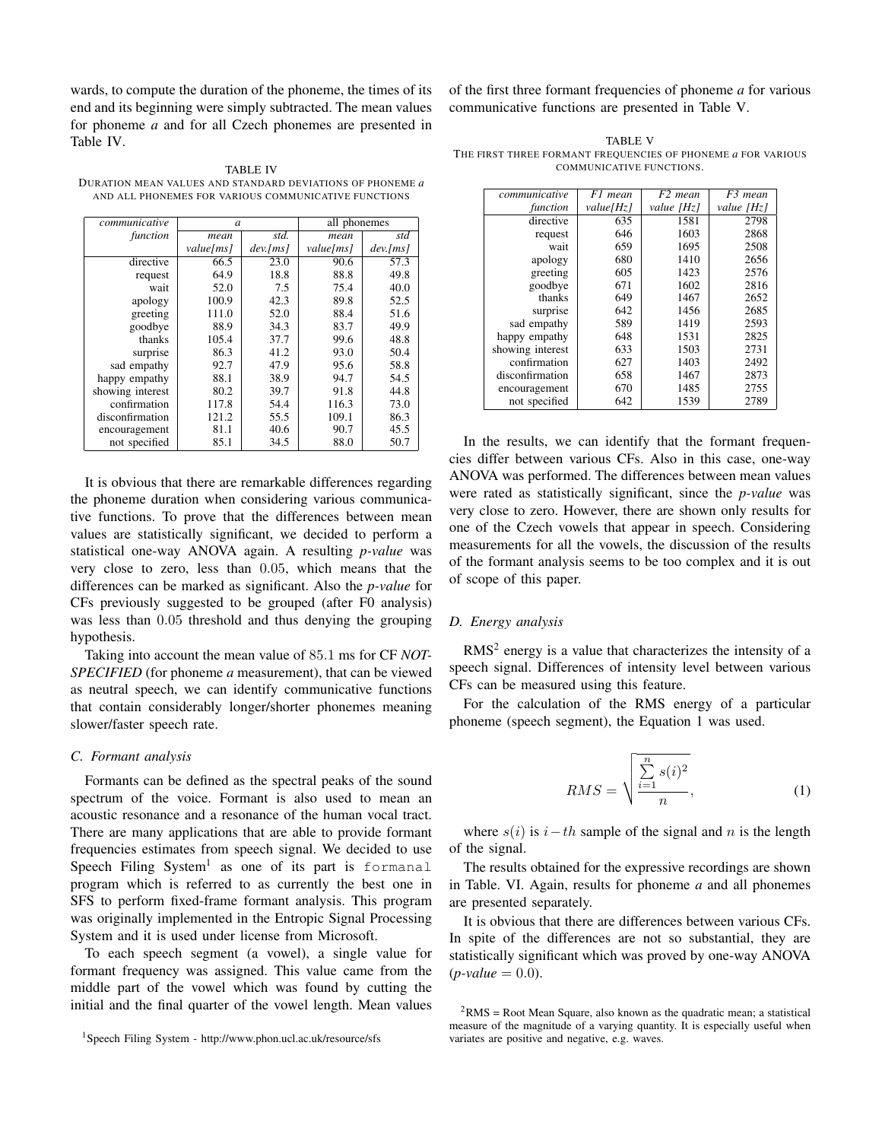wards, to compute the duration of the phoneme, the times of its end and its beginning were simply subtracted. The mean values for phoneme *a* and for all Czech phonemes are presented in Table IV.

TABLE IV DURATION MEAN VALUES AND STANDARD DEVIATIONS OF PHONEME *a* AND ALL PHONEMES FOR VARIOUS COMMUNICATIVE FUNCTIONS

| communicative    | a         |         | all phonemes |             |  |
|------------------|-----------|---------|--------------|-------------|--|
| function         | mean      | std.    | mean         | std         |  |
|                  | value[ms] | dev./ms | value[ms]    | $dev.$ [ms] |  |
| directive        | 66.5      | 23.0    | 90.6         | 57.3        |  |
| request          | 64.9      | 18.8    | 88.8         | 49.8        |  |
| wait             | 52.0      | 7.5     | 75.4         | 40.0        |  |
| apology          | 100.9     | 42.3    | 89.8         | 52.5        |  |
| greeting         | 111.0     | 52.0    | 88.4         | 51.6        |  |
| goodbye          | 88.9      | 34.3    | 83.7         | 49.9        |  |
| thanks           | 105.4     | 37.7    | 99.6         | 48.8        |  |
| surprise         | 86.3      | 41.2    | 93.0         | 50.4        |  |
| sad empathy      | 92.7      | 47.9    | 95.6         | 58.8        |  |
| happy empathy    | 88.1      | 38.9    | 94.7         | 54.5        |  |
| showing interest | 80.2      | 39.7    | 91.8         | 44.8        |  |
| confirmation     | 117.8     | 54.4    | 116.3        | 73.0        |  |
| disconfirmation  | 121.2     | 55.5    | 109.1        | 86.3        |  |
| encouragement    | 81.1      | 40.6    | 90.7         | 45.5        |  |
| not specified    | 85.1      | 34.5    | 88.0         | 50.7        |  |

It is obvious that there are remarkable differences regarding the phoneme duration when considering various communicative functions. To prove that the differences between mean values are statistically significant, we decided to perform a statistical one-way ANOVA again. A resulting *p-value* was very close to zero, less than 0.05, which means that the differences can be marked as significant. Also the *p-value* for CFs previously suggested to be grouped (after F0 analysis) was less than 0.05 threshold and thus denying the grouping hypothesis.

Taking into account the mean value of 85.1 ms for CF *NOT-SPECIFIED* (for phoneme *a* measurement), that can be viewed as neutral speech, we can identify communicative functions that contain considerably longer/shorter phonemes meaning slower/faster speech rate.

## *C. Formant analysis*

Formants can be defined as the spectral peaks of the sound spectrum of the voice. Formant is also used to mean an acoustic resonance and a resonance of the human vocal tract. There are many applications that are able to provide formant frequencies estimates from speech signal. We decided to use Speech Filing System<sup>1</sup> as one of its part is formanal program which is referred to as currently the best one in SFS to perform fixed-frame formant analysis. This program was originally implemented in the Entropic Signal Processing System and it is used under license from Microsoft.

To each speech segment (a vowel), a single value for formant frequency was assigned. This value came from the middle part of the vowel which was found by cutting the initial and the final quarter of the vowel length. Mean values

<sup>1</sup>Speech Filing System - http://www.phon.ucl.ac.uk/resource/sfs

of the first three formant frequencies of phoneme *a* for various communicative functions are presented in Table V.

TABLE V THE FIRST THREE FORMANT FREQUENCIES OF PHONEME *a* FOR VARIOUS COMMUNICATIVE FUNCTIONS.

| communicative    | F1 mean   | F2 mean    | F3 mean    |
|------------------|-----------|------------|------------|
| function         | value[Hz] | value [Hz] | value [Hz] |
| directive        | 635       | 1581       | 2798       |
| request          | 646       | 1603       | 2868       |
| wait             | 659       | 1695       | 2508       |
| apology          | 680       | 1410       | 2656       |
| greeting         | 605       | 1423       | 2576       |
| goodbye          | 671       | 1602       | 2816       |
| thanks           | 649       | 1467       | 2652       |
| surprise         | 642       | 1456       | 2685       |
| sad empathy      | 589       | 1419       | 2593       |
| happy empathy    | 648       | 1531       | 2825       |
| showing interest | 633       | 1503       | 2731       |
| confirmation     | 627       | 1403       | 2492       |
| disconfirmation  | 658       | 1467       | 2873       |
| encouragement    | 670       | 1485       | 2755       |
| not specified    | 642       | 1539       | 2789       |

In the results, we can identify that the formant frequencies differ between various CFs. Also in this case, one-way ANOVA was performed. The differences between mean values were rated as statistically significant, since the *p-value* was very close to zero. However, there are shown only results for one of the Czech vowels that appear in speech. Considering measurements for all the vowels, the discussion of the results of the formant analysis seems to be too complex and it is out of scope of this paper.

### *D. Energy analysis*

 $RMS<sup>2</sup>$  energy is a value that characterizes the intensity of a speech signal. Differences of intensity level between various CFs can be measured using this feature.

For the calculation of the RMS energy of a particular phoneme (speech segment), the Equation 1 was used.

$$
RMS = \sqrt{\frac{\sum_{i=1}^{n} s(i)^2}{n}},
$$
\n(1)

where  $s(i)$  is  $i-th$  sample of the signal and n is the length of the signal.

The results obtained for the expressive recordings are shown in Table. VI. Again, results for phoneme *a* and all phonemes are presented separately.

It is obvious that there are differences between various CFs. In spite of the differences are not so substantial, they are statistically significant which was proved by one-way ANOVA  $(p-value = 0.0)$ .

 ${}^{2}RMS =$  Root Mean Square, also known as the quadratic mean; a statistical measure of the magnitude of a varying quantity. It is especially useful when variates are positive and negative, e.g. waves.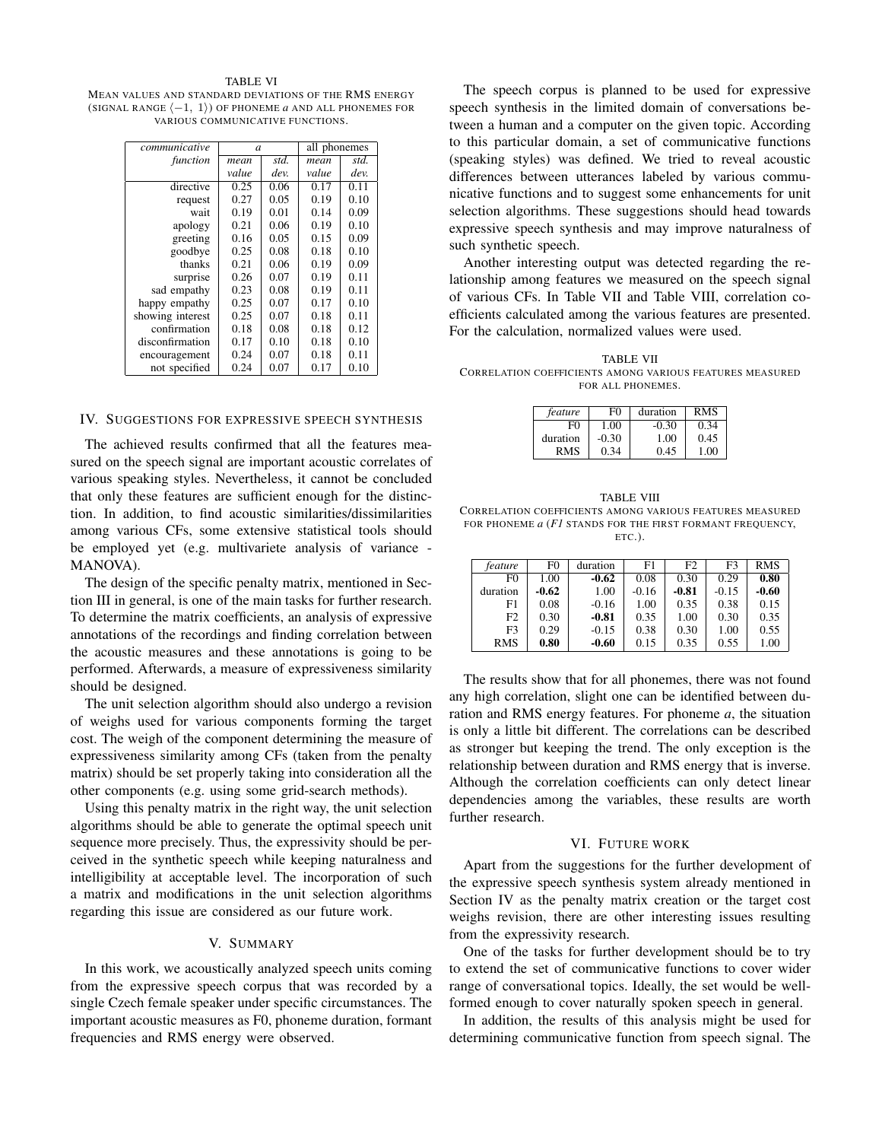TABLE VI MEAN VALUES AND STANDARD DEVIATIONS OF THE RMS ENERGY (SIGNAL RANGE  $\langle -1, 1 \rangle$ ) OF PHONEME *a* AND ALL PHONEMES FOR VARIOUS COMMUNICATIVE FUNCTIONS.

| communicative    | a     |      | all phonemes |      |  |
|------------------|-------|------|--------------|------|--|
| function         | mean  | std. | mean         | std. |  |
|                  | value | dev. | value        | dev. |  |
| directive        | 0.25  | 0.06 | 0.17         | 0.11 |  |
| request          | 0.27  | 0.05 | 0.19         | 0.10 |  |
| wait             | 0.19  | 0.01 | 0.14         | 0.09 |  |
| apology          | 0.21  | 0.06 | 0.19         | 0.10 |  |
| greeting         | 0.16  | 0.05 | 0.15         | 0.09 |  |
| goodbye          | 0.25  | 0.08 | 0.18         | 0.10 |  |
| thanks           | 0.21  | 0.06 | 0.19         | 0.09 |  |
| surprise         | 0.26  | 0.07 | 0.19         | 0.11 |  |
| sad empathy      | 0.23  | 0.08 | 0.19         | 0.11 |  |
| happy empathy    | 0.25  | 0.07 | 0.17         | 0.10 |  |
| showing interest | 0.25  | 0.07 | 0.18         | 0.11 |  |
| confirmation     | 0.18  | 0.08 | 0.18         | 0.12 |  |
| disconfirmation  | 0.17  | 0.10 | 0.18         | 0.10 |  |
| encouragement    | 0.24  | 0.07 | 0.18         | 0.11 |  |
| not specified    | 0.24  | 0.07 | 0.17         | 0.10 |  |

## IV. SUGGESTIONS FOR EXPRESSIVE SPEECH SYNTHESIS

The achieved results confirmed that all the features measured on the speech signal are important acoustic correlates of various speaking styles. Nevertheless, it cannot be concluded that only these features are sufficient enough for the distinction. In addition, to find acoustic similarities/dissimilarities among various CFs, some extensive statistical tools should be employed yet (e.g. multivariete analysis of variance - MANOVA).

The design of the specific penalty matrix, mentioned in Section III in general, is one of the main tasks for further research. To determine the matrix coefficients, an analysis of expressive annotations of the recordings and finding correlation between the acoustic measures and these annotations is going to be performed. Afterwards, a measure of expressiveness similarity should be designed.

The unit selection algorithm should also undergo a revision of weighs used for various components forming the target cost. The weigh of the component determining the measure of expressiveness similarity among CFs (taken from the penalty matrix) should be set properly taking into consideration all the other components (e.g. using some grid-search methods).

Using this penalty matrix in the right way, the unit selection algorithms should be able to generate the optimal speech unit sequence more precisely. Thus, the expressivity should be perceived in the synthetic speech while keeping naturalness and intelligibility at acceptable level. The incorporation of such a matrix and modifications in the unit selection algorithms regarding this issue are considered as our future work.

# V. SUMMARY

In this work, we acoustically analyzed speech units coming from the expressive speech corpus that was recorded by a single Czech female speaker under specific circumstances. The important acoustic measures as F0, phoneme duration, formant frequencies and RMS energy were observed.

The speech corpus is planned to be used for expressive speech synthesis in the limited domain of conversations between a human and a computer on the given topic. According to this particular domain, a set of communicative functions (speaking styles) was defined. We tried to reveal acoustic differences between utterances labeled by various communicative functions and to suggest some enhancements for unit selection algorithms. These suggestions should head towards expressive speech synthesis and may improve naturalness of such synthetic speech.

Another interesting output was detected regarding the relationship among features we measured on the speech signal of various CFs. In Table VII and Table VIII, correlation coefficients calculated among the various features are presented. For the calculation, normalized values were used.

TABLE VII CORRELATION COEFFICIENTS AMONG VARIOUS FEATURES MEASURED FOR ALL PHONEMES.

| feature  | F٥      | duration | <b>RMS</b> |
|----------|---------|----------|------------|
| FO       | 1.00    | $-0.30$  | 0.34       |
| duration | $-0.30$ | 1.00     | 0.45       |
| RMS      | 0.34    | 0.45     | 1.00       |

TABLE VIII CORRELATION COEFFICIENTS AMONG VARIOUS FEATURES MEASURED FOR PHONEME *a* (*F1* STANDS FOR THE FIRST FORMANT FREQUENCY, ETC.).

| feature    | F0      | duration | F1      | F2      | F3      | <b>RMS</b> |
|------------|---------|----------|---------|---------|---------|------------|
| F0         | 1.00    | $-0.62$  | 0.08    | 0.30    | 0.29    | 0.80       |
| duration   | $-0.62$ | 1.00     | $-0.16$ | $-0.81$ | $-0.15$ | $-0.60$    |
| F1         | 0.08    | $-0.16$  | 1.00    | 0.35    | 0.38    | 0.15       |
| F2         | 0.30    | $-0.81$  | 0.35    | 1.00    | 0.30    | 0.35       |
| F3         | 0.29    | $-0.15$  | 0.38    | 0.30    | 1.00    | 0.55       |
| <b>RMS</b> | 0.80    | $-0.60$  | 0.15    | 0.35    | 0.55    | 1.00       |

The results show that for all phonemes, there was not found any high correlation, slight one can be identified between duration and RMS energy features. For phoneme *a*, the situation is only a little bit different. The correlations can be described as stronger but keeping the trend. The only exception is the relationship between duration and RMS energy that is inverse. Although the correlation coefficients can only detect linear dependencies among the variables, these results are worth further research.

#### VI. FUTURE WORK

Apart from the suggestions for the further development of the expressive speech synthesis system already mentioned in Section IV as the penalty matrix creation or the target cost weighs revision, there are other interesting issues resulting from the expressivity research.

One of the tasks for further development should be to try to extend the set of communicative functions to cover wider range of conversational topics. Ideally, the set would be wellformed enough to cover naturally spoken speech in general.

In addition, the results of this analysis might be used for determining communicative function from speech signal. The